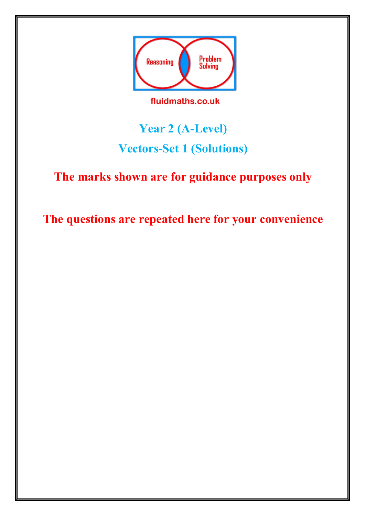

fluidmaths.co.uk

## **Year 2 (A-Level) Vectors-Set 1 (Solutions)**

## **The marks shown are for guidance purposes only**

**The questions are repeated here for your convenience**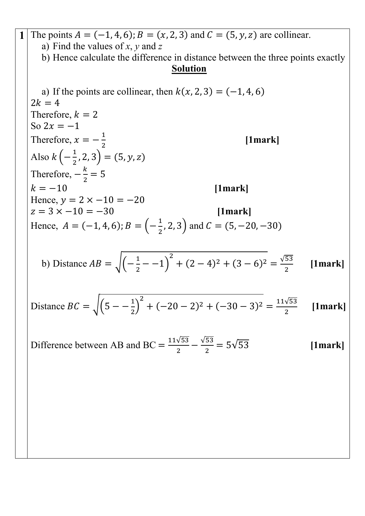**1** The points  $A = (-1, 4, 6)$ ;  $B = (x, 2, 3)$  and  $C = (5, y, z)$  are collinear. a) Find the values of *x*, *y* and *z* b) Hence calculate the difference in distance between the three points exactly **Solution** a) If the points are collinear, then  $k(x, 2, 3) = (-1, 4, 6)$  $2k = 4$ Therefore,  $k = 2$ So  $2x = -1$ Therefore,  $x = -\frac{1}{2}$ 2 **[1mark]** Also  $k\left(-\frac{1}{2}, 2, 3\right) = (5, y, z)$ Therefore,  $-\frac{k}{2} = 5$  $k = -10$  [1mark] Hence,  $v = 2 \times -10 = -20$  $z = 3 \times -10 = -30$  [1mark] Hence,  $A = (-1, 4, 6)$ ;  $B = \left(-\frac{1}{2}, 2, 3\right)$  and  $C = (5, -20, -30)$ b) Distance  $AB = \sqrt{\left(-\frac{1}{2} - -1\right)}$  $^{2}$  + (2 – 4)<sup>2</sup> + (3 – 6)<sup>2</sup> =  $\frac{\sqrt{53}}{2}$ 2 **[1mark]** Distance  $BC = \sqrt{\left(5 - -\frac{1}{2}\right)}$  $^{2}$  + (-20 - 2)<sup>2</sup> + (-30 - 3)<sup>2</sup> =  $\frac{11\sqrt{53}}{2}$ 2 **[1mark]** Difference between AB and BC =  $\frac{11\sqrt{53}}{2} - \frac{\sqrt{53}}{2} = 5\sqrt{53}$  [1mark]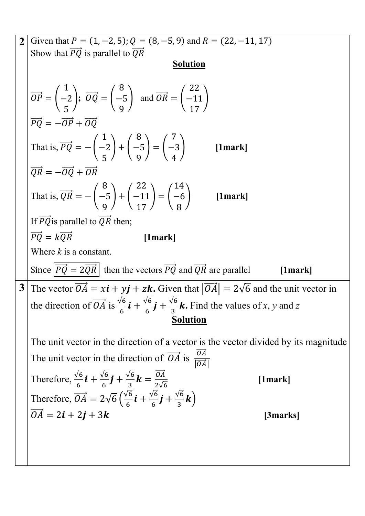2 Given that 
$$
P = (1, -2, 5)
$$
;  $Q = (8, -5, 9)$  and  $R = (22, -11, 17)$   
\nShow that  $\overline{PQ}$  is parallel to  $\overline{QR}$   
\nSolution  
\n
$$
\overline{OP} = \begin{pmatrix} 1 \\ -2 \\ 5 \end{pmatrix}; \overline{OQ} = \begin{pmatrix} 8 \\ -5 \\ 9 \end{pmatrix} \text{ and } \overline{OR} = \begin{pmatrix} 22 \\ -11 \\ 17 \end{pmatrix}
$$
\n
$$
\overline{PQ} = -\overline{OP} + \overline{OQ}
$$
\nThat is,  $\overline{PQ} = -(\begin{pmatrix} 1 \\ -2 \\ 5 \end{pmatrix} + (\begin{pmatrix} 8 \\ -5 \\ 9 \end{pmatrix}) = (\begin{pmatrix} 7 \\ -3 \\ 4 \end{pmatrix})$  [1mark]  
\n $\overline{QR} = -\overline{OQ} + \overline{OR}$   
\nThat is,  $\overline{QR} = -(\begin{pmatrix} 8 \\ -5 \\ 9 \end{pmatrix} + (\begin{pmatrix} 22 \\ -11 \\ 17 \end{pmatrix}) = (\begin{pmatrix} 14 \\ -6 \\ 8 \end{pmatrix})$  [1mark]  
\nIf  $\overline{PQ}$  is parallel to  $\overline{QR}$  then;  
\n $\overline{PQ} = k\overline{QR}$  [1mark]  
\nWhere  $\overline{k}$  is a constant.  
\nSince  $\overline{PQ} = 2\overline{QR}$  then the vectors  $\overline{PQ}$  and  $\overline{QR}$  are parallel [1mark]  
\n3 The vector  $\overline{OA} = x\overline{t} + y\overline{j} + z\overline{k}$ . Given that  $|\overline{OA}| = 2\sqrt{6}$  and the unit vector in the direction of  $\overline{OA}$  is  $\frac{\sqrt{6}}{6}\overline{t} + \frac{\sqrt{6}}{6}\overline{f} + \frac{\sqrt{6}}{8}\overline{k}$ . Find the values of x, y and z  
\nSolution  
\nThe unit vector in the direction of  $\overline{OA}$  is  $\frac{\overline{OA}}{|\overline{OA}|}$   
\nTherefore,  $\frac{\overline{OA}}{|\overline{OA}|} = 2\sqrt{6}(\frac{\sqrt{6$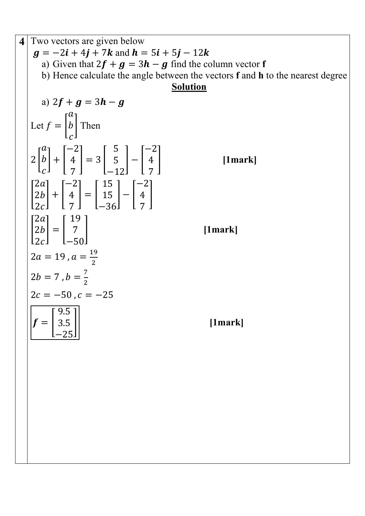**4** Two vectors are given below  $g = -2i + 4j + 7k$  and  $h = 5i + 5j - 12k$ a) Given that  $2f + g = 3h - g$  find the column vector **f** b) Hence calculate the angle between the vectors **f** and **h** to the nearest degree **Solution** a)  $2f + g = 3h - g$ Let  $f = |$  $\boldsymbol{a}$  $\boldsymbol{b}$  $\mathcal{C}_{\mathcal{C}}$ | Then  $2 \mid$  $\boldsymbol{a}$  $\boldsymbol{b}$  $\mathcal{C}_{\mathcal{C}}$  $| + |$ −2 4  $\frac{1}{2}$  $= 3$  | 5 5 −12  $|-|$ −2 4  $\frac{1}{2}$ � **[1mark]**  $\mathsf I$  $2a$  $2b$  $2c$  $\vert + \vert$ −2 4  $\frac{1}{2}$  $=$   $\mid$ 15 15 −36  $|-|$ −2 4  $\frac{7}{2}$  $\frac{1}{2}$  $\mathsf I$  $2a$  $2b$  $2c$  $=$   $\mid$ 19  $\frac{1}{2}$  $-50$ � **[1mark]**  $2a = 19$ ,  $a = \frac{19}{2}$  $2b = 7$  ,  $b = \frac{7}{2}$  $2c = -50$ ,  $c = -25$  $f = |$ 9.5 3.5  $-25$ � **[1mark]**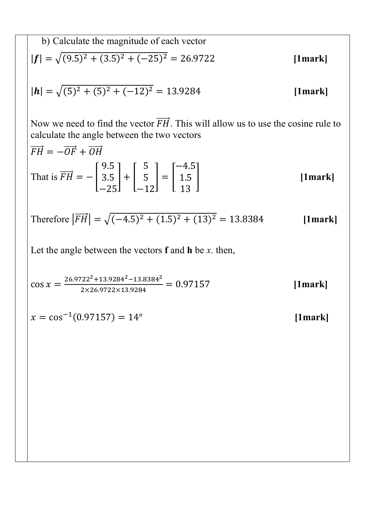b) Calculate the magnitude of each vector  
\n
$$
|\mathbf{f}| = \sqrt{(9.5)^2 + (3.5)^2 + (-25)^2} = 26.9722
$$
\n[1mark]  
\n
$$
|\mathbf{h}| = \sqrt{(5)^2 + (5)^2 + (-12)^2} = 13.9284
$$
\n[1mark]

Now we need to find the vector  $\overrightarrow{FH}$ . This will allow us to use the cosine rule to calculate the angle between the two vectors

$$
\overrightarrow{FH} = -\overrightarrow{OF} + \overrightarrow{OH}
$$
\nThat is  $\overrightarrow{FH} = -\begin{bmatrix} 9.5 \\ 3.5 \\ -25 \end{bmatrix} + \begin{bmatrix} 5 \\ 5 \\ -12 \end{bmatrix} = \begin{bmatrix} -4.5 \\ 1.5 \\ 13 \end{bmatrix}$  [1mark]

Therefore 
$$
|\overrightarrow{FH}| = \sqrt{(-4.5)^2 + (1.5)^2 + (13)^2} = 13.8384
$$
 [1mark]

Let the angle between the vectors  $f$  and  $h$  be  $x$ . then,

$$
\cos x = \frac{26.9722^2 + 13.9284^2 - 13.8384^2}{2 \times 26.9722 \times 13.9284} = 0.97157
$$
 [1mark]

 $x = \cos^{-1}(0.97157) = 14^{\circ}$  $[1mark]$